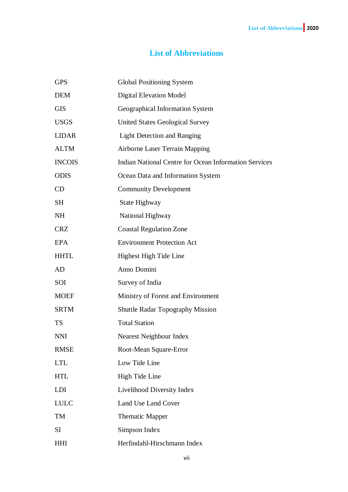## **List of Abbreviations**

| <b>GPS</b>    | <b>Global Positioning System</b>                             |
|---------------|--------------------------------------------------------------|
| <b>DEM</b>    | <b>Digital Elevation Model</b>                               |
| <b>GIS</b>    | Geographical Information System                              |
| <b>USGS</b>   | <b>United States Geological Survey</b>                       |
| <b>LIDAR</b>  | <b>Light Detection and Ranging</b>                           |
| <b>ALTM</b>   | <b>Airborne Laser Terrain Mapping</b>                        |
| <b>INCOIS</b> | <b>Indian National Centre for Ocean Information Services</b> |
| <b>ODIS</b>   | Ocean Data and Information System                            |
| CD            | <b>Community Development</b>                                 |
| SH            | State Highway                                                |
| <b>NH</b>     | National Highway                                             |
| <b>CRZ</b>    | <b>Coastal Regulation Zone</b>                               |
| EPA           | <b>Environment Protection Act</b>                            |
| <b>HHTL</b>   | Highest High Tide Line                                       |
| AD            | Anno Domini                                                  |
| SOI           | Survey of India                                              |
| <b>MOEF</b>   | Ministry of Forest and Environment                           |
| <b>SRTM</b>   | <b>Shuttle Radar Topography Mission</b>                      |
| <b>TS</b>     | <b>Total Station</b>                                         |
| <b>NNI</b>    | Nearest Neighbour Index                                      |
| <b>RMSE</b>   | Root-Mean Square-Error                                       |
| <b>LTL</b>    | Low Tide Line                                                |
| <b>HTL</b>    | High Tide Line                                               |
| <b>LDI</b>    | Livelihood Diversity Index                                   |
| <b>LULC</b>   | Land Use Land Cover                                          |
| TM            | <b>Thematic Mapper</b>                                       |
| SI            | Simpson Index                                                |
| HHI           | Herfindahl-Hirschmann Index                                  |